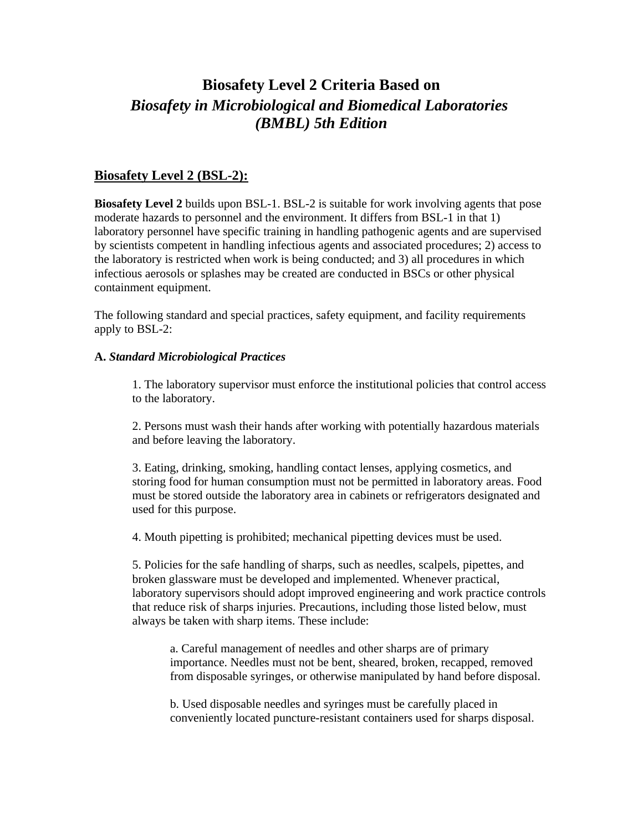# **Biosafety Level 2 Criteria Based on**  *Biosafety in Microbiological and Biomedical Laboratories (BMBL) 5th Edition*

# **Biosafety Level 2 (BSL-2):**

**Biosafety Level 2** builds upon BSL-1. BSL-2 is suitable for work involving agents that pose moderate hazards to personnel and the environment. It differs from BSL-1 in that 1) laboratory personnel have specific training in handling pathogenic agents and are supervised by scientists competent in handling infectious agents and associated procedures; 2) access to the laboratory is restricted when work is being conducted; and 3) all procedures in which infectious aerosols or splashes may be created are conducted in BSCs or other physical containment equipment.

The following standard and special practices, safety equipment, and facility requirements apply to BSL-2:

## **A.** *Standard Microbiological Practices*

1. The laboratory supervisor must enforce the institutional policies that control access to the laboratory.

2. Persons must wash their hands after working with potentially hazardous materials and before leaving the laboratory.

3. Eating, drinking, smoking, handling contact lenses, applying cosmetics, and storing food for human consumption must not be permitted in laboratory areas. Food must be stored outside the laboratory area in cabinets or refrigerators designated and used for this purpose.

4. Mouth pipetting is prohibited; mechanical pipetting devices must be used.

5. Policies for the safe handling of sharps, such as needles, scalpels, pipettes, and broken glassware must be developed and implemented. Whenever practical, laboratory supervisors should adopt improved engineering and work practice controls that reduce risk of sharps injuries. Precautions, including those listed below, must always be taken with sharp items. These include:

a. Careful management of needles and other sharps are of primary importance. Needles must not be bent, sheared, broken, recapped, removed from disposable syringes, or otherwise manipulated by hand before disposal.

b. Used disposable needles and syringes must be carefully placed in conveniently located puncture-resistant containers used for sharps disposal.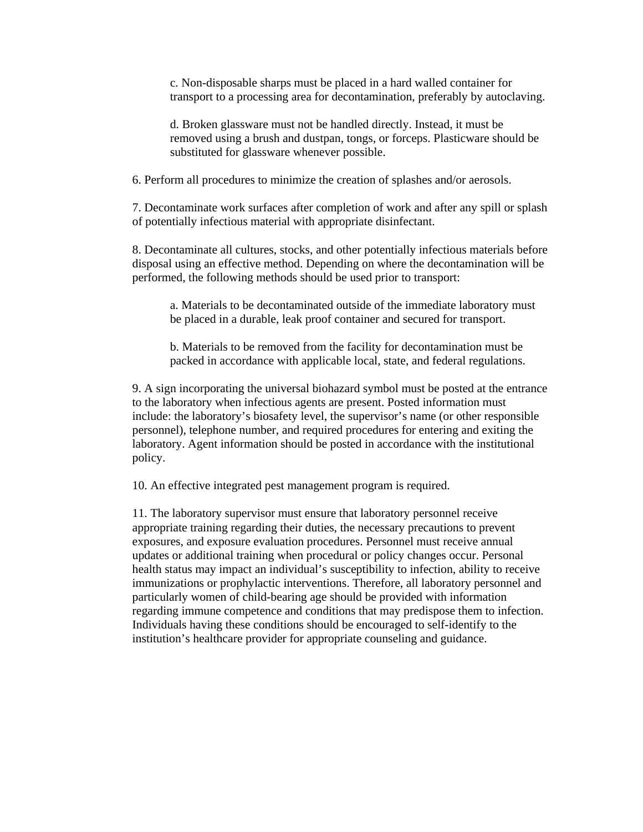c. Non-disposable sharps must be placed in a hard walled container for transport to a processing area for decontamination, preferably by autoclaving.

d. Broken glassware must not be handled directly. Instead, it must be removed using a brush and dustpan, tongs, or forceps. Plasticware should be substituted for glassware whenever possible.

6. Perform all procedures to minimize the creation of splashes and/or aerosols.

7. Decontaminate work surfaces after completion of work and after any spill or splash of potentially infectious material with appropriate disinfectant.

8. Decontaminate all cultures, stocks, and other potentially infectious materials before disposal using an effective method. Depending on where the decontamination will be performed, the following methods should be used prior to transport:

a. Materials to be decontaminated outside of the immediate laboratory must be placed in a durable, leak proof container and secured for transport.

b. Materials to be removed from the facility for decontamination must be packed in accordance with applicable local, state, and federal regulations.

9. A sign incorporating the universal biohazard symbol must be posted at the entrance to the laboratory when infectious agents are present. Posted information must include: the laboratory's biosafety level, the supervisor's name (or other responsible personnel), telephone number, and required procedures for entering and exiting the laboratory. Agent information should be posted in accordance with the institutional policy.

10. An effective integrated pest management program is required.

11. The laboratory supervisor must ensure that laboratory personnel receive appropriate training regarding their duties, the necessary precautions to prevent exposures, and exposure evaluation procedures. Personnel must receive annual updates or additional training when procedural or policy changes occur. Personal health status may impact an individual's susceptibility to infection, ability to receive immunizations or prophylactic interventions. Therefore, all laboratory personnel and particularly women of child-bearing age should be provided with information regarding immune competence and conditions that may predispose them to infection. Individuals having these conditions should be encouraged to self-identify to the institution's healthcare provider for appropriate counseling and guidance.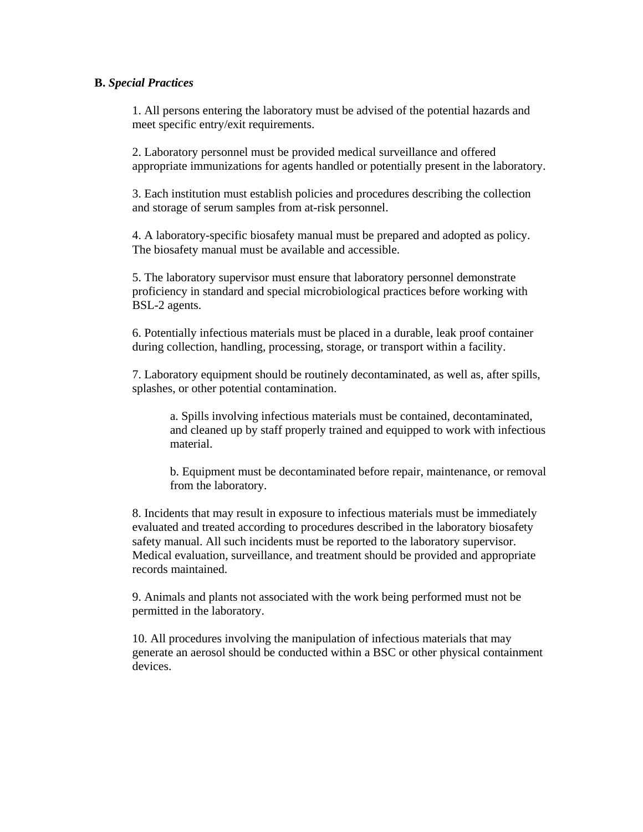### **B.** *Special Practices*

1. All persons entering the laboratory must be advised of the potential hazards and meet specific entry/exit requirements.

2. Laboratory personnel must be provided medical surveillance and offered appropriate immunizations for agents handled or potentially present in the laboratory.

3. Each institution must establish policies and procedures describing the collection and storage of serum samples from at-risk personnel.

4. A laboratory-specific biosafety manual must be prepared and adopted as policy. The biosafety manual must be available and accessible.

5. The laboratory supervisor must ensure that laboratory personnel demonstrate proficiency in standard and special microbiological practices before working with BSL-2 agents.

6. Potentially infectious materials must be placed in a durable, leak proof container during collection, handling, processing, storage, or transport within a facility.

7. Laboratory equipment should be routinely decontaminated, as well as, after spills, splashes, or other potential contamination.

a. Spills involving infectious materials must be contained, decontaminated, and cleaned up by staff properly trained and equipped to work with infectious material.

b. Equipment must be decontaminated before repair, maintenance, or removal from the laboratory.

8. Incidents that may result in exposure to infectious materials must be immediately evaluated and treated according to procedures described in the laboratory biosafety safety manual. All such incidents must be reported to the laboratory supervisor. Medical evaluation, surveillance, and treatment should be provided and appropriate records maintained.

9. Animals and plants not associated with the work being performed must not be permitted in the laboratory.

10. All procedures involving the manipulation of infectious materials that may generate an aerosol should be conducted within a BSC or other physical containment devices.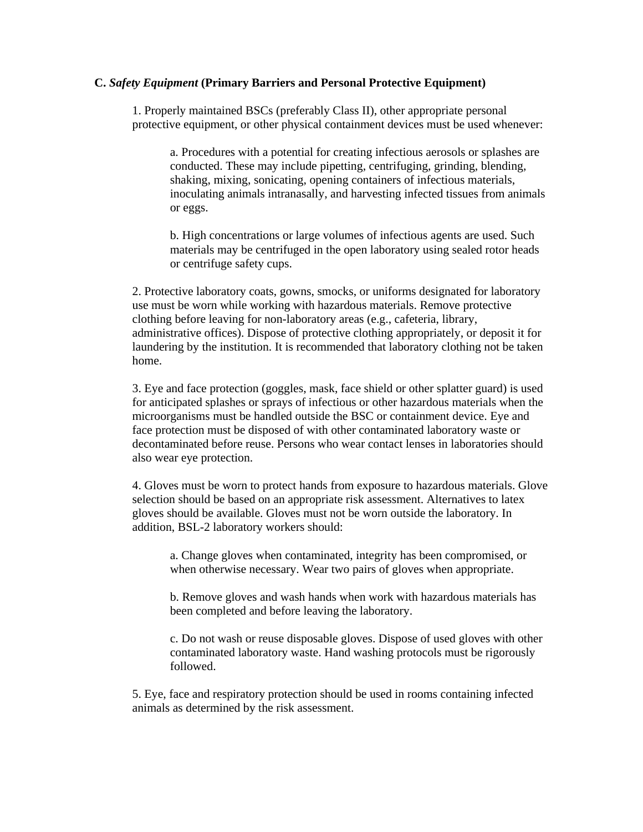#### **C.** *Safety Equipment* **(Primary Barriers and Personal Protective Equipment)**

1. Properly maintained BSCs (preferably Class II), other appropriate personal protective equipment, or other physical containment devices must be used whenever:

a. Procedures with a potential for creating infectious aerosols or splashes are conducted. These may include pipetting, centrifuging, grinding, blending, shaking, mixing, sonicating, opening containers of infectious materials, inoculating animals intranasally, and harvesting infected tissues from animals or eggs.

b. High concentrations or large volumes of infectious agents are used. Such materials may be centrifuged in the open laboratory using sealed rotor heads or centrifuge safety cups.

2. Protective laboratory coats, gowns, smocks, or uniforms designated for laboratory use must be worn while working with hazardous materials. Remove protective clothing before leaving for non-laboratory areas (e.g., cafeteria, library, administrative offices). Dispose of protective clothing appropriately, or deposit it for laundering by the institution. It is recommended that laboratory clothing not be taken home.

3. Eye and face protection (goggles, mask, face shield or other splatter guard) is used for anticipated splashes or sprays of infectious or other hazardous materials when the microorganisms must be handled outside the BSC or containment device. Eye and face protection must be disposed of with other contaminated laboratory waste or decontaminated before reuse. Persons who wear contact lenses in laboratories should also wear eye protection.

4. Gloves must be worn to protect hands from exposure to hazardous materials. Glove selection should be based on an appropriate risk assessment. Alternatives to latex gloves should be available. Gloves must not be worn outside the laboratory. In addition, BSL-2 laboratory workers should:

a. Change gloves when contaminated, integrity has been compromised, or when otherwise necessary. Wear two pairs of gloves when appropriate.

b. Remove gloves and wash hands when work with hazardous materials has been completed and before leaving the laboratory.

c. Do not wash or reuse disposable gloves. Dispose of used gloves with other contaminated laboratory waste. Hand washing protocols must be rigorously followed.

5. Eye, face and respiratory protection should be used in rooms containing infected animals as determined by the risk assessment.